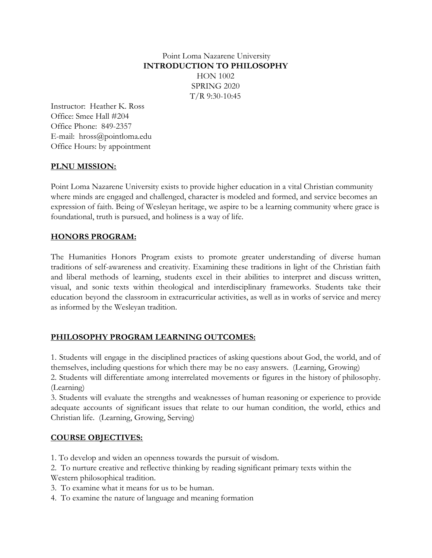Point Loma Nazarene University **INTRODUCTION TO PHILOSOPHY** HON 1002 SPRING 2020 T/R 9:30-10:45

Instructor: Heather K. Ross Office: Smee Hall #204 Office Phone: 849-2357 E-mail: hross@pointloma.edu Office Hours: by appointment

#### **PLNU MISSION:**

Point Loma Nazarene University exists to provide higher education in a vital Christian community where minds are engaged and challenged, character is modeled and formed, and service becomes an expression of faith. Being of Wesleyan heritage, we aspire to be a learning community where grace is foundational, truth is pursued, and holiness is a way of life.

#### **HONORS PROGRAM:**

The Humanities Honors Program exists to promote greater understanding of diverse human traditions of self-awareness and creativity. Examining these traditions in light of the Christian faith and liberal methods of learning, students excel in their abilities to interpret and discuss written, visual, and sonic texts within theological and interdisciplinary frameworks. Students take their education beyond the classroom in extracurricular activities, as well as in works of service and mercy as informed by the Wesleyan tradition.

#### **PHILOSOPHY PROGRAM LEARNING OUTCOMES:**

1. Students will engage in the disciplined practices of asking questions about God, the world, and of themselves, including questions for which there may be no easy answers. (Learning, Growing)

2. Students will differentiate among interrelated movements or figures in the history of philosophy. (Learning)

3. Students will evaluate the strengths and weaknesses of human reasoning or experience to provide adequate accounts of significant issues that relate to our human condition, the world, ethics and Christian life. (Learning, Growing, Serving)

#### **COURSE OBJECTIVES:**

1. To develop and widen an openness towards the pursuit of wisdom.

2. To nurture creative and reflective thinking by reading significant primary texts within the Western philosophical tradition.

- 3. To examine what it means for us to be human.
- 4. To examine the nature of language and meaning formation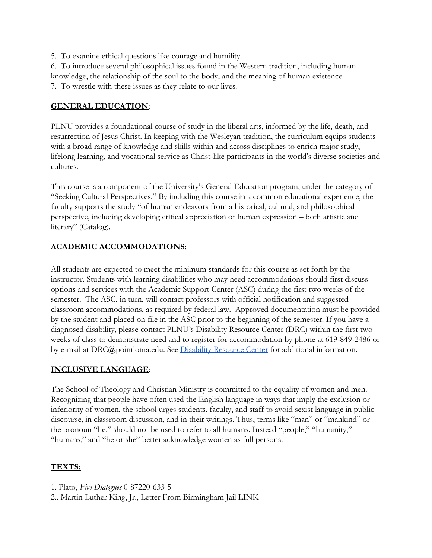5. To examine ethical questions like courage and humility.

6. To introduce several philosophical issues found in the Western tradition, including human knowledge, the relationship of the soul to the body, and the meaning of human existence.

7. To wrestle with these issues as they relate to our lives.

#### **GENERAL EDUCATION**:

PLNU provides a foundational course of study in the liberal arts, informed by the life, death, and resurrection of Jesus Christ. In keeping with the Wesleyan tradition, the curriculum equips students with a broad range of knowledge and skills within and across disciplines to enrich major study, lifelong learning, and vocational service as Christ-like participants in the world's diverse societies and cultures.

This course is a component of the University's General Education program, under the category of "Seeking Cultural Perspectives." By including this course in a common educational experience, the faculty supports the study "of human endeavors from a historical, cultural, and philosophical perspective, including developing critical appreciation of human expression – both artistic and literary" (Catalog).

# **ACADEMIC ACCOMMODATIONS:**

All students are expected to meet the minimum standards for this course as set forth by the instructor. Students with learning disabilities who may need accommodations should first discuss options and services with the Academic Support Center (ASC) during the first two weeks of the semester. The ASC, in turn, will contact professors with official notification and suggested classroom accommodations, as required by federal law. Approved documentation must be provided by the student and placed on file in the ASC prior to the beginning of the semester. If you have a diagnosed disability, please contact PLNU's Disability Resource Center (DRC) within the first two weeks of class to demonstrate need and to register for accommodation by phone at 619-849-2486 or by e-mail at DRC@pointloma.edu. See [Disability Resource Center](http://www.pointloma.edu/experience/offices/administrative-offices/academic-advising-office/disability-resource-center) for additional information.

# **INCLUSIVE LANGUAGE**:

The School of Theology and Christian Ministry is committed to the equality of women and men. Recognizing that people have often used the English language in ways that imply the exclusion or inferiority of women, the school urges students, faculty, and staff to avoid sexist language in public discourse, in classroom discussion, and in their writings. Thus, terms like "man" or "mankind" or the pronoun "he," should not be used to refer to all humans. Instead "people," "humanity," "humans," and "he or she" better acknowledge women as full persons.

# **TEXTS:**

- 1. Plato, *Five Dialogues* 0-87220-633-5
- 2.. Martin Luther King, Jr., Letter From Birmingham Jail LINK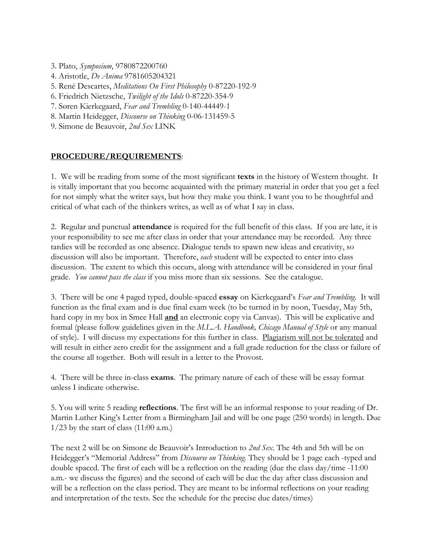- 3. Plato, *Symposium*, 9780872200760
- 4. Aristotle, *De Anima* 9781605204321
- 5. René Descartes, *Meditations On First Philosophy* 0-87220-192-9
- 6. Friedrich Nietzsche, *Twilight of the Idols* 0-87220-354-9
- 7. Søren Kierkegaard, *Fear and Trembling* 0-140-44449-1
- 8. Martin Heidegger, *Discourse on Thinking* 0-06-131459-5
- 9. Simone de Beauvoir, *2nd Sex* LINK

#### **PROCEDURE/REQUIREMENTS**:

1. We will be reading from some of the most significant **texts** in the history of Western thought. It is vitally important that you become acquainted with the primary material in order that you get a feel for not simply what the writer says, but how they make you think. I want you to be thoughtful and critical of what each of the thinkers writes, as well as of what I say in class.

2. Regular and punctual **attendance** is required for the full benefit of this class. If you are late, it is your responsibility to see me after class in order that your attendance may be recorded. Any three tardies will be recorded as one absence. Dialogue tends to spawn new ideas and creativity, so discussion will also be important. Therefore, *each* student will be expected to enter into class discussion. The extent to which this occurs, along with attendance will be considered in your final grade. *You cannot pass the class* if you miss more than six sessions. See the catalogue.

3. There will be one 4 paged typed, double-spaced **essay** on Kierkegaard's *Fear and Trembling*. It will function as the final exam and is due final exam week (to be turned in by noon, Tuesday, May 5th, hard copy in my box in Smee Hall **and** an electronic copy via Canvas). This will be explicative and formal (please follow guidelines given in the *M.L.A. Handbook, Chicago Manual of Style* or any manual of style). I will discuss my expectations for this further in class. Plagiarism will not be tolerated and will result in either zero credit for the assignment and a full grade reduction for the class or failure of the course all together. Both will result in a letter to the Provost.

4. There will be three in-class **exams**. The primary nature of each of these will be essay format unless I indicate otherwise.

5. You will write 5 reading **reflections**. The first will be an informal response to your reading of Dr. Martin Luther King's Letter from a Birmingham Jail and will be one page (250 words) in length. Due  $1/23$  by the start of class (11:00 a.m.)

The next 2 will be on Simone de Beauvoir's Introduction to *2nd Sex*. The 4th and 5th will be on Heidegger's "Memorial Address" from *Discourse on Thinking*. They should be 1 page each -typed and double spaced. The first of each will be a reflection on the reading (due the class day/time -11:00 a.m.- we discuss the figures) and the second of each will be due the day after class discussion and will be a reflection on the class period. They are meant to be informal reflections on your reading and interpretation of the texts. See the schedule for the precise due dates/times)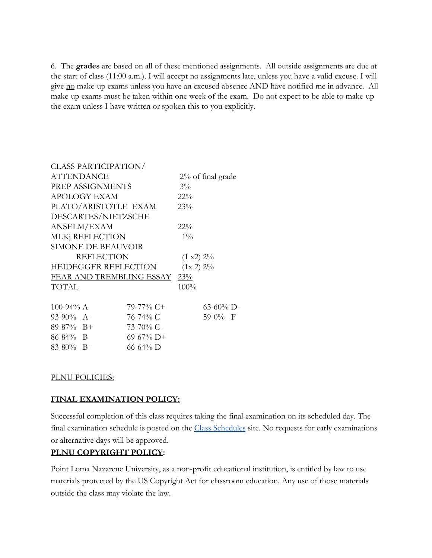6. The **grades** are based on all of these mentioned assignments. All outside assignments are due at the start of class (11:00 a.m.). I will accept no assignments late, unless you have a valid excuse. I will give no make-up exams unless you have an excused absence AND have notified me in advance. All make-up exams must be taken within one week of the exam. Do not expect to be able to make-up the exam unless I have written or spoken this to you explicitly.

|                              | <b>CLASS PARTICIPATION/</b> |               |           |                      |
|------------------------------|-----------------------------|---------------|-----------|----------------------|
| ATTENDANCE                   |                             |               |           | $2\%$ of final grade |
| PREP ASSIGNMENTS             |                             |               | $3\%$     |                      |
| <b>APOLOGY EXAM</b>          |                             |               | $22\%$    |                      |
| PLATO/ARISTOTLE EXAM         |                             |               | 23%       |                      |
| DESCARTES/NIETZSCHE          |                             |               |           |                      |
| ANSELM/EXAM                  |                             |               | $22\%$    |                      |
| MLKj REFLECTION              |                             |               | $1\%$     |                      |
| <b>SIMONE DE BEAUVOIR</b>    |                             |               |           |                      |
| <b>REFLECTION</b>            |                             |               | (1 x2) 2% |                      |
| <b>HEIDEGGER REFLECTION</b>  |                             |               | (1x 2) 2% |                      |
| FEAR AND TREMBLING ESSAY 23% |                             |               |           |                      |
| TOTAL                        |                             |               | 100%      |                      |
| 100-94% $A$                  |                             | 79-77% C+     |           | $63-60\%$ D-         |
| $93-90\%$ A-                 |                             | $76-74%$ C    |           | 59-0% F              |
| $89-87\%$ B+                 |                             | 73-70% C-     |           |                      |
| $86 - 84\%$ B                |                             | $69-67\%$ D+  |           |                      |
| $83-80\%$ B-                 |                             | $66 - 64\%$ D |           |                      |

#### PLNU POLICIES:

#### **FINAL EXAMINATION POLICY:**

Successful completion of this class requires taking the final examination on its scheduled day. The final [e](http://www.pointloma.edu/experience/academics/class-schedules)xamination schedule is posted on the **[Class Schedules](http://www.pointloma.edu/experience/academics/class-schedules)** site. No requests for early examinations or alternative days will be approved.

#### **PLNU COPYRIGHT POLICY:**

Point Loma Nazarene University, as a non-profit educational institution, is entitled by law to use materials protected by the US Copyright Act for classroom education. Any use of those materials outside the class may violate the law.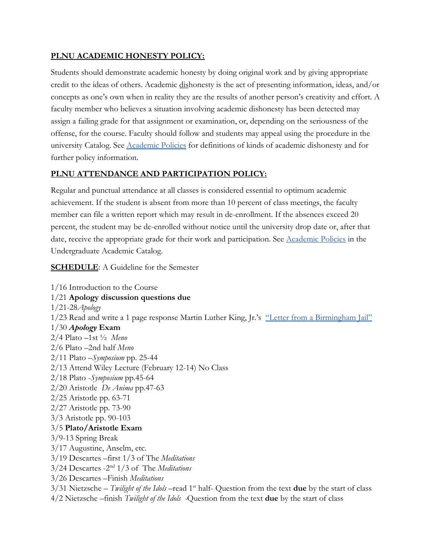#### **PLNU ACADEMIC HONESTY POLICY:**

Students should demonstrate academic honesty by doing original work and by giving appropriate credit to the ideas of others. Academic dishonesty is the act of presenting information, ideas, and/or concepts as one's own when in reality they are the results of another person's creativity and effort. A faculty member who believes a situation involving academic dishonesty has been detected may assign a failing grade for that assignment or examination, or, depending on the seriousness of the offense, for the course. Faculty should follow and students may appeal using the procedure in the univ[e](http://catalog.pointloma.edu/content.php?catoid=18&navoid=1278)rsity Catalog. See [Academic Policies](http://catalog.pointloma.edu/content.php?catoid=18&navoid=1278) for definitions of kinds of academic dishonesty and for further policy information.

#### **PLNU ATTENDANCE AND PARTICIPATION POLICY:**

Regular and punctual attendance at all classes is considered essential to optimum academic achievement. If the student is absent from more than 10 percent of class meetings, the faculty member can file a written report which may result in de-enrollment. If the absences exceed 20 percent, the student may be de-enrolled without notice until the university drop date or, after that date, receive the appropriate grade for their work and participation. See [Academic Policies](http://catalog.pointloma.edu/content.php?catoid=18&navoid=1278) in the Undergraduate Academic Catalog.

#### **SCHEDULE**: A Guideline for the Semester

1/16 Introduction to the Course 1/21 **Apology discussion questions due** 1/21-28*Apology* 1/23 Read and write a 1 page response Martin Luther King, Jr.'s ["Letter from a Birmingham Jail"](http://pointloma.idm.oclc.org/login?url=http://search.ebscohost.com/login.aspx?direct=true&db=aph&AN=134398805&site=ehost-live) 1/30 *Apology* **Exam** 2/4 Plato –1st ½ *Meno* 2/6 Plato –2nd half *Meno* 2/11 Plato –*Symposium* pp. 25-44 2/13 Attend Wiley Lecture (February 12-14) No Class 2/18 Plato -*Symposium* pp.45-64 2/20 Aristotle *De Anima* pp.47-63 2/25 Aristotle pp. 63-71 2/27 Aristotle pp. 73-90 3/3 Aristotle pp. 90-103 3/5 **Plato/Aristotle Exam** 3/9-13 Spring Break 3/17 Augustine, Anselm, etc. 3/19 Descartes –first 1/3 of The *Meditations* 3/24 Descartes -2nd 1/3 of The *Meditations* 3/26 Descartes –Finish *Meditations* 3/31 Nietzsche – *Twilight of the Idols* –read 1st half- Question from the text **due** by the start of class 4/2 Nietzsche –finish *Twilight of the Idols -*Question from the text **due** by the start of class